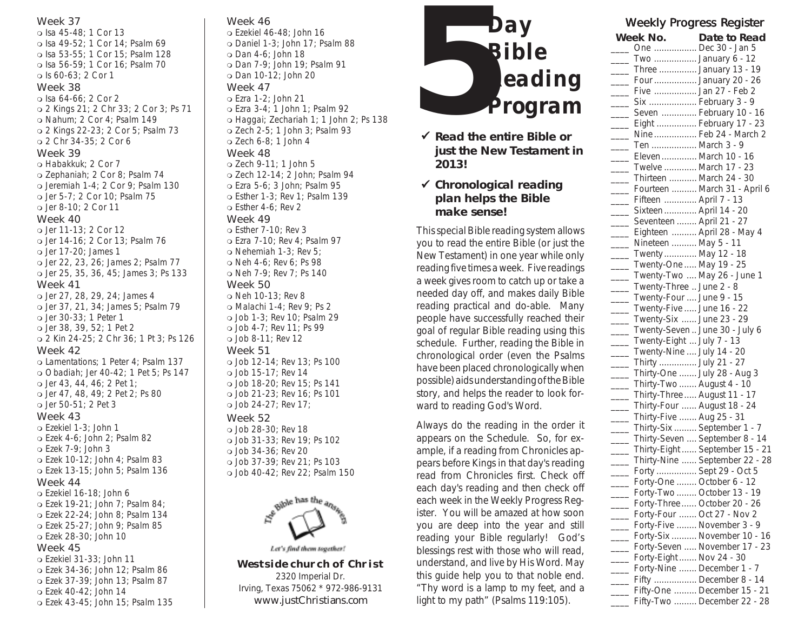Isa 45-48; 1 Cor 13 Isa 49-52; 1 Cor 14; Psalm 69 Isa 53-55; 1 Cor 15; Psalm 128 Isa 56-59; 1 Cor 16; Psalm 70 Is 60-63; 2 Cor 1

#### Week 38

 Isa 64-66; 2 Cor 2 2 Kings 21; 2 Chr 33; 2 Cor 3; Ps 71 o Nahum; 2 Cor 4; Psalm 149 2 Kings 22-23; 2 Cor 5; Psalm 73 2 Chr 34-35; 2 Cor 6

#### Week 39

 Habakkuk; 2 Cor 7 Zephaniah; 2 Cor 8; Psalm 74 Jeremiah 1-4; 2 Cor 9; Psalm 130 Jer 5-7; 2 Cor 10; Psalm 75 Jer 8-10; 2 Cor 11

#### Week 40

 Jer 11-13; 2 Cor 12 Jer 14-16; 2 Cor 13; Psalm 76 Jer 17-20; James 1 Jer 22, 23, 26; James 2; Psalm 77 Jer 25, 35, 36, 45; James 3; Ps 133 Week 41

### Jer 27, 28, 29, 24; James 4 Jer 37, 21, 34; James 5; Psalm 79 Jer 30-33; 1 Peter 1 Jer 38, 39, 52; 1 Pet 2 2 Kin 24-25; 2 Chr 36; 1 Pt 3; Ps 126

#### Week 42

 Lamentations; 1 Peter 4; Psalm 137 Obadiah; Jer 40-42; 1 Pet 5; Ps 147 Jer 43, 44, 46; 2 Pet 1; Jer 47, 48, 49; 2 Pet 2; Ps 80 Jer 50-51; 2 Pet 3

#### Week 43

 Ezekiel 1-3; John 1 Ezek 4-6; John 2; Psalm 82 Ezek 7-9; John 3 Ezek 10-12; John 4; Psalm 83 Ezek 13-15; John 5; Psalm 136

#### Week 44

 Ezekiel 16-18; John 6 Ezek 19-21; John 7; Psalm 84; Ezek 22-24; John 8; Psalm 134 Ezek 25-27; John 9; Psalm 85 Ezek 28-30; John 10

### Week 45

 Ezekiel 31-33; John 11 Ezek 34-36; John 12; Psalm 86 Ezek 37-39; John 13; Psalm 87 Ezek 40-42; John 14 Ezek 43-45; John 15; Psalm 135

### Week 46

- Ezekiel 46-48; John 16 Daniel 1-3; John 17; Psalm 88 Dan 4-6; John 18
- Dan 7-9; John 19; Psalm 91 Dan 10-12; John 20

# Week 47

 Ezra 1-2; John 21 Ezra 3-4; 1 John 1; Psalm 92 Haggai; Zechariah 1; 1 John 2; Ps 138 Zech 2-5; 1 John 3; Psalm 93 Zech 6-8; 1 John 4

## Week 48

 Zech 9-11; 1 John 5 Zech 12-14; 2 John; Psalm 94 Ezra 5-6; 3 John; Psalm 95 Esther 1-3; Rev 1; Psalm 139  $\circ$  Esther 4-6; Rev 2

#### Week 49

 Esther 7-10; Rev 3 Ezra 7-10; Rev 4; Psalm 97 o Nehemiah 1-3; Rev 5; Neh 4-6; Rev 6; Ps 98 Neh 7-9; Rev 7; Ps 140

## Week 50

o Neh 10-13; Rev 8 Malachi 1-4; Rev 9; Ps 2 Job 1-3; Rev 10; Psalm 29 Job 4-7; Rev 11; Ps 99 Job 8-11; Rev 12 Week 51 Job 12-14; Rev 13; Ps 100 Job 15-17; Rev 14 Job 18-20; Rev 15; Ps 141 Job 21-23; Rev 16; Ps 101 Job 24-27; Rev 17;

### Week 52

 Job 28-30; Rev 18 Job 31-33; Rev 19; Ps 102 Job 34-36; Rev 20 Job 37-39; Rev 21; Ps 103 Job 40-42; Rev 22; Psalm 150



Let's find them together!

**Westside church of Christ** 2320 Imperial Dr. Irving, Texas 75062 \* 972-986-9131 **www.justChristians.com**



- 9 **Read the entire Bible or just the New Testament in 2013!**
- 9 **Chronological reading plan helps the Bible make sense!**

This special Bible reading system allows you to read the entire Bible (or just the New Testament) in one year while only reading five times a week. Five readings a week gives room to catch up or take a needed day off, and makes daily Bible reading practical and do-able. Many people have successfully reached their goal of regular Bible reading using this schedule. Further, reading the Bible in chronological order (even the Psalms have been placed chronologically when possible) aids understanding of the Bible story, and helps the reader to look forward to reading God's Word.

Always do the reading in the order it appears on the Schedule. So, for example, if a reading from Chronicles appears before Kings in that day's reading read from Chronicles first. Check off each day's reading and then check off each week in the Weekly Progress Register. You will be amazed at how soon you are deep into the year and still reading your Bible regularly! God's blessings rest with those who will read, understand, and live by His Word. May this guide help you to that noble end. *"Thy word is a lamp to my feet, and a light to my path"* (Psalms 119:105).

# Weekly Progress Register

| Week No.                      | Date to Read                     |
|-------------------------------|----------------------------------|
|                               | One  Dec 30 - Jan 5              |
|                               | Two  January 6 - 12              |
|                               | Three  January 13 - 19           |
|                               | Four  January 20 - 26            |
|                               | Five  Jan 27 - Feb 2             |
|                               | Six  February 3 - 9              |
|                               | Seven  February 10 - 16          |
|                               | Eight  February 17 - 23          |
|                               | Nine  Feb 24 - March 2           |
| Ten  March 3 - 9              |                                  |
|                               | Eleven March 10 - 16             |
| Twelve  March 17 - 23         |                                  |
|                               | Thirteen  March 24 - 30          |
|                               | Fourteen  March 31 - April $6\,$ |
| Fifteen  April 7 - 13         |                                  |
| Sixteen  April 14 - 20        |                                  |
| ____ Seventeen  April 21 - 27 |                                  |
|                               | Eighteen  April 28 - May 4       |
| Nineteen  May 5 - 11          |                                  |
| Twenty  May 12 - 18           |                                  |
| Twenty-One  May 19 - 25       |                                  |
|                               | Twenty-Two  May 26 - June 1      |
| Twenty-Three  June 2 - 8      |                                  |
| Twenty-Four  June 9 - 15      |                                  |
| Twenty-Five  June 16 - 22     |                                  |
|                               |                                  |
| Twenty-Six  June 23 - 29      |                                  |
|                               | Twenty-Seven  June 30 - July 6   |
| Twenty-Eight  July 7 - 13     |                                  |
| Twenty-Nine  July 14 - 20     |                                  |
| Thirty  July 21 - 27          |                                  |
|                               | Thirty-One  July 28 - Aug 3      |
| Thirty-Two  August 4 - 10     |                                  |
|                               | Thirty-Three  August 11 - 17     |
|                               | Thirty-Four  August 18 - 24      |
| Thirty-Five  Aug 25 - 31      |                                  |
|                               | Thirty-Six  September 1 - 7      |
|                               | Thirty-Seven  September 8 - 14   |
|                               | Thirty-Eight  September 15 - 21  |
|                               | Thirty-Nine  September 22 - 28   |
|                               | Forty  Sept 29 - Oct 5           |
|                               | Forty-One  October 6 - 12        |
|                               | Forty-Two  October 13 - 19       |
|                               | Forty-Three October 20 - 26      |
|                               | Forty-Four  Oct 27 - Nov 2       |
|                               | Forty-Five  November 3 - 9       |
|                               | Forty-Six  November 10 - 16      |
|                               | Forty-Seven  November 17 - 23    |
| Forty-Eight  Nov 24 - 30      |                                  |
|                               | Forty-Nine  December 1 - 7       |
|                               | Fifty  December 8 - 14           |
|                               | Fifty-One  December 15 - 21      |
|                               | Fifty-Two  December 22 - 28      |
|                               |                                  |